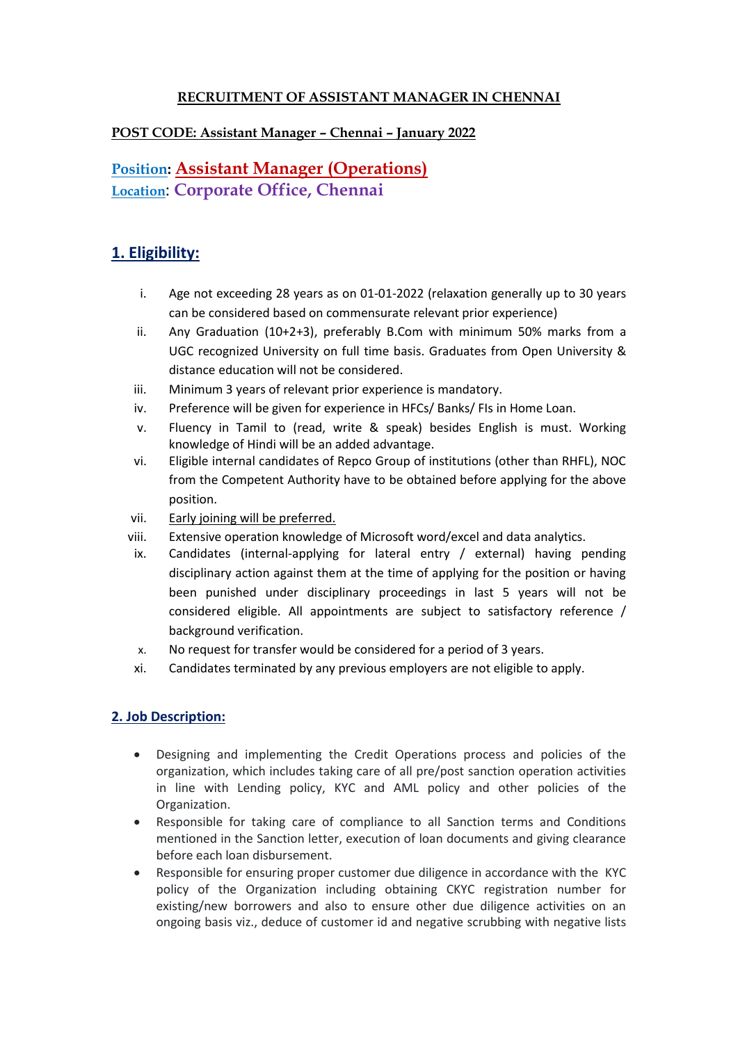### **RECRUITMENT OF ASSISTANT MANAGER IN CHENNAI**

### **POST CODE: Assistant Manager – Chennai – January 2022**

# **Position: Assistant Manager (Operations) Location**: **Corporate Office, Chennai**

# **1. Eligibility:**

- i. Age not exceeding 28 years as on 01-01-2022 (relaxation generally up to 30 years can be considered based on commensurate relevant prior experience)
- ii. Any Graduation (10+2+3), preferably B.Com with minimum 50% marks from a UGC recognized University on full time basis. Graduates from Open University & distance education will not be considered.
- iii. Minimum 3 years of relevant prior experience is mandatory.
- iv. Preference will be given for experience in HFCs/ Banks/ FIs in Home Loan.
- v. Fluency in Tamil to (read, write & speak) besides English is must. Working knowledge of Hindi will be an added advantage.
- vi. Eligible internal candidates of Repco Group of institutions (other than RHFL), NOC from the Competent Authority have to be obtained before applying for the above position.
- vii. Early joining will be preferred.
- viii. Extensive operation knowledge of Microsoft word/excel and data analytics.
- ix. Candidates (internal-applying for lateral entry / external) having pending disciplinary action against them at the time of applying for the position or having been punished under disciplinary proceedings in last 5 years will not be considered eligible. All appointments are subject to satisfactory reference / background verification.
- x. No request for transfer would be considered for a period of 3 years.
- xi. Candidates terminated by any previous employers are not eligible to apply.

#### **2. Job Description:**

- Designing and implementing the Credit Operations process and policies of the organization, which includes taking care of all pre/post sanction operation activities in line with Lending policy, KYC and AML policy and other policies of the Organization.
- Responsible for taking care of compliance to all Sanction terms and Conditions mentioned in the Sanction letter, execution of loan documents and giving clearance before each loan disbursement.
- Responsible for ensuring proper customer due diligence in accordance with the KYC policy of the Organization including obtaining CKYC registration number for existing/new borrowers and also to ensure other due diligence activities on an ongoing basis viz., deduce of customer id and negative scrubbing with negative lists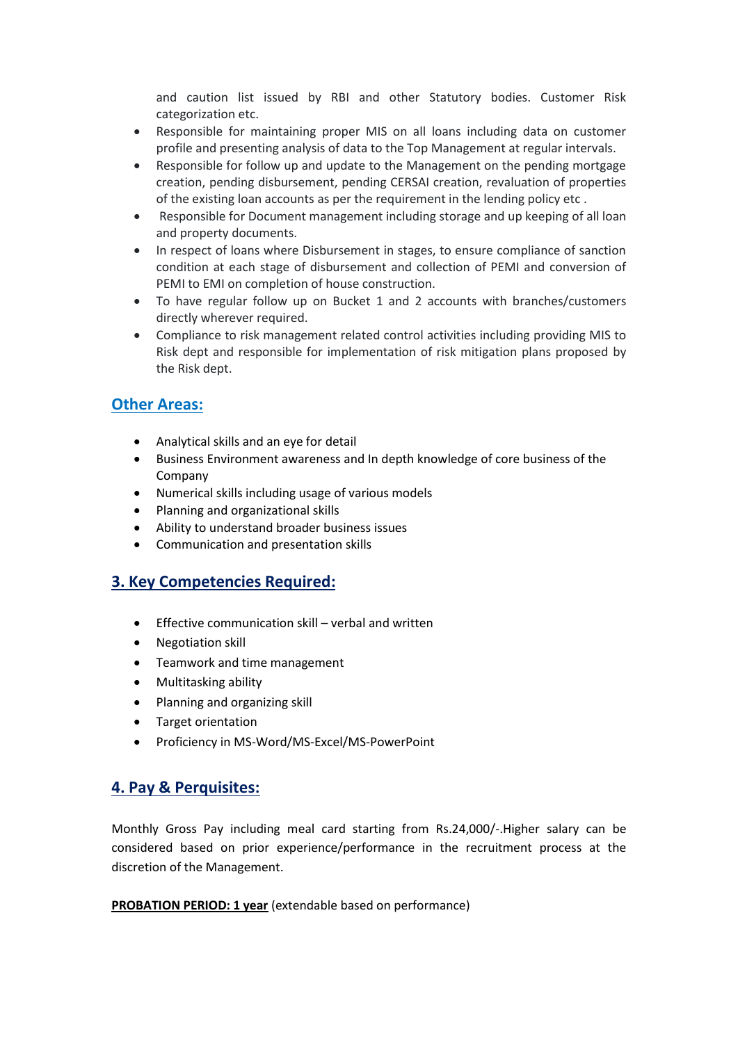and caution list issued by RBI and other Statutory bodies. Customer Risk categorization etc.

- Responsible for maintaining proper MIS on all loans including data on customer profile and presenting analysis of data to the Top Management at regular intervals.
- Responsible for follow up and update to the Management on the pending mortgage creation, pending disbursement, pending CERSAI creation, revaluation of properties of the existing loan accounts as per the requirement in the lending policy etc .
- Responsible for Document management including storage and up keeping of all loan and property documents.
- In respect of loans where Disbursement in stages, to ensure compliance of sanction condition at each stage of disbursement and collection of PEMI and conversion of PEMI to EMI on completion of house construction.
- To have regular follow up on Bucket 1 and 2 accounts with branches/customers directly wherever required.
- Compliance to risk management related control activities including providing MIS to Risk dept and responsible for implementation of risk mitigation plans proposed by the Risk dept.

# **Other Areas:**

- Analytical skills and an eye for detail
- Business Environment awareness and In depth knowledge of core business of the Company
- Numerical skills including usage of various models
- Planning and organizational skills
- Ability to understand broader business issues
- Communication and presentation skills

# **3. Key Competencies Required:**

- $\bullet$  Effective communication skill verbal and written
- Negotiation skill
- Teamwork and time management
- Multitasking ability
- Planning and organizing skill
- Target orientation
- Proficiency in MS-Word/MS-Excel/MS-PowerPoint

# **4. Pay & Perquisites:**

Monthly Gross Pay including meal card starting from Rs.24,000/-.Higher salary can be considered based on prior experience/performance in the recruitment process at the discretion of the Management.

**PROBATION PERIOD: 1 year** (extendable based on performance)